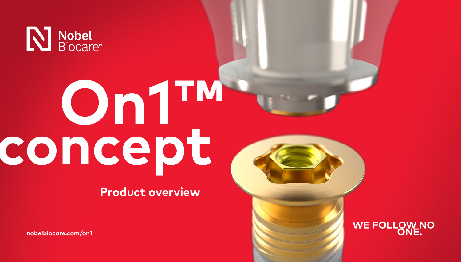

# **On1™ concept**

**Product overview**

**[nobelbiocare.com/on1](https://www.nobelbiocare.com/on1)**

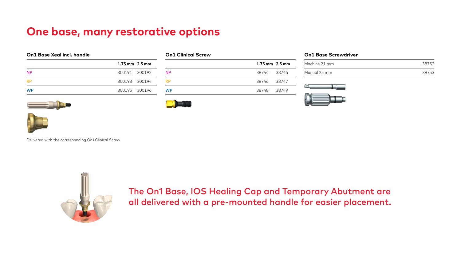| On1 Base Xeal incl. handle |                             |  |
|----------------------------|-----------------------------|--|
|                            | $1.75 \,\mathrm{mm}$ 2.5 mm |  |
| <b>NP</b>                  | 300191 300192               |  |
| <b>RP</b>                  | 300193 300194               |  |
| <b>WP</b>                  | 300195 300196               |  |



|           | $1.75 \text{ mm}$ 2.5 mm |  |
|-----------|--------------------------|--|
| <b>NP</b> | 38744 38745              |  |
| <b>RP</b> | 38746 38747              |  |
| <b>WP</b> | 38748 38749              |  |

|  |  |  | <b>On1 Base Screwdriver</b> |
|--|--|--|-----------------------------|
|--|--|--|-----------------------------|

| Machine 21 mm |        |
|---------------|--------|
| Manual 25 mm  | ר הסכי |





Delivered with the corresponding On1 Clinical Screw



The On1 Base, IOS Healing Cap and Temporary Abutment are all delivered with a pre-mounted handle for easier placement.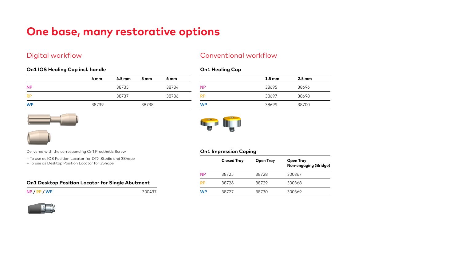# **On1 IOS Healing Cap incl. handle**

|           | 4 mm  | $4.5 \text{ mm}$ | 5 mm  | 6 <sub>mm</sub> |
|-----------|-------|------------------|-------|-----------------|
| <b>NP</b> |       | 38735            |       | 38734           |
| <b>RP</b> |       | 38737            |       | 38736           |
| <b>WP</b> | 38739 |                  | 38738 |                 |





Delivered with the corresponding On1 Prosthetic Screw

- To use as IOS Position Locator for DTX Studio and 3Shape
- To use as Desktop Position Locator for 3Shape

## **On1 Desktop Position Locator for Single Abutment**



# Digital workflow Conventional workflow

# **On1 Healing Cap**

|           | $1.5 \text{ mm}$ | $2.5 \text{ mm}$ |
|-----------|------------------|------------------|
| NP        | 38695            | 38696            |
| RP        | 38697            | 38698            |
| <b>WP</b> | 38699            | 38700            |



# **On1 Impression Coping**

|           | <b>Closed Tray</b> | Open Tray | Open Tray<br>Non-engaging (Bridge) |
|-----------|--------------------|-----------|------------------------------------|
| ΝP        | 38725              | 38728     | 300367                             |
| <b>RP</b> | 38726              | 38729     | 300368                             |
| WP        | 38727              | 38730     | 300369                             |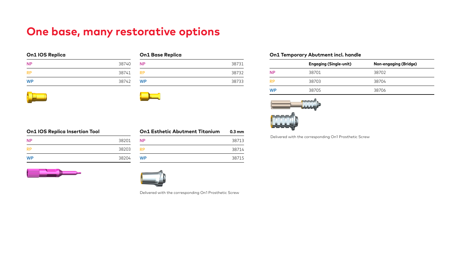| On1 IOS Replica |  |  |  |
|-----------------|--|--|--|
|-----------------|--|--|--|

| <b>NP</b> | 38740 |
|-----------|-------|
| <b>RP</b> | 38741 |
| <b>WP</b> | 38742 |

| <b>On1 Base Replica</b> |       |
|-------------------------|-------|
| <b>NP</b>               | 38731 |
| <b>RP</b>               | 38732 |
| <b>WP</b>               | 38733 |

# **On1 Temporary Abutment incl. handle**

|           | <b>Engaging (Single-unit)</b> | <b>Non-engaging (Bridge)</b> |
|-----------|-------------------------------|------------------------------|
| <b>NP</b> | 38701                         | 38702                        |
| <b>RP</b> | 38703                         | 38704                        |
| WP        | 38705                         | 38706                        |



Delivered with the corresponding On1 Prosthetic Screw

| On1 IOS Replica Insertion Tool |       |  |
|--------------------------------|-------|--|
| <b>NP</b>                      | 38201 |  |
| <b>RP</b>                      | 38203 |  |
| WP                             | 38204 |  |

| <b>On1 Esthetic Abutment Titanium</b> | $0.3 \text{ mm}$ |
|---------------------------------------|------------------|
| <b>NP</b>                             | 38713            |
| RP                                    | 38714            |
| <b>WP</b>                             | 38715            |





Delivered with the corresponding On1 Prosthetic Screw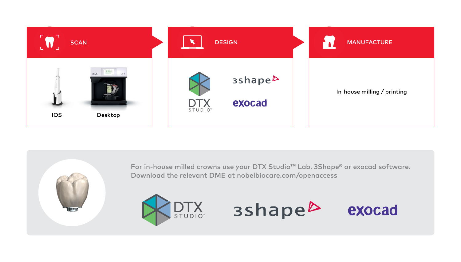

For in-house milled crowns use your DTX Studio™ Lab, 3Shape® or exocad software. Download the relevant DME at nobelbiocare.com/openaccess



3shape<sup>b</sup>

exocad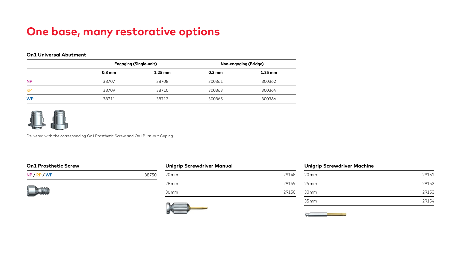# **On1 Universal Abutment**

|           | <b>Engaging (Single-unit)</b> |           | Non-engaging (Bridge) |                   |
|-----------|-------------------------------|-----------|-----------------------|-------------------|
|           | $0.3 \text{ mm}$              | $1.25$ mm | $0.3 \text{ mm}$      | $1.25 \text{ mm}$ |
| <b>NP</b> | 38707                         | 38708     | 300361                | 300362            |
| <b>RP</b> | 38709                         | 38710     | 300363                | 300364            |
| <b>WP</b> | 38711                         | 38712     | 300365                | 300366            |



Delivered with the corresponding On1 Prosthetic Screw and On1 Burn-out Coping

## **On1 Prosthetic Screw**

| $NP$ / $RP$ / $WP$ | 38750 |
|--------------------|-------|
|                    |       |



| <b>Unigrip Screwdriver Manual</b> |       |  |
|-----------------------------------|-------|--|
| $20 \,\mathrm{mm}$                | 29148 |  |
| 28mm                              | 29149 |  |
| 36 mm                             | 29150 |  |



## **Unigrip Screwdriver Machine**

| 20 <sub>mm</sub> | 29151 |
|------------------|-------|
| 25mm             | 29152 |
| 30 <sub>mm</sub> | 29153 |
| 35mm             | 29154 |

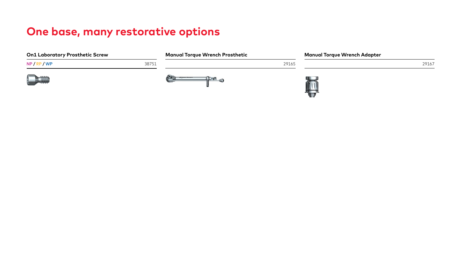